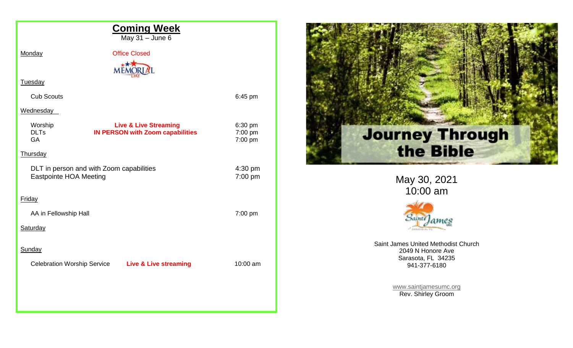| <b>Coming Week</b><br>May 31 - June 6                                     |                                                                             |                               |
|---------------------------------------------------------------------------|-----------------------------------------------------------------------------|-------------------------------|
| Monday                                                                    | <b>Office Closed</b>                                                        |                               |
| Tuesday                                                                   | <b>ME</b>                                                                   |                               |
| <b>Cub Scouts</b>                                                         |                                                                             | 6:45 pm                       |
| Wednesday                                                                 |                                                                             |                               |
| Worship<br><b>DLTs</b><br><b>GA</b>                                       | <b>Live &amp; Live Streaming</b><br><b>IN PERSON with Zoom capabilities</b> | 6:30 pm<br>7:00 pm<br>7:00 pm |
| Thursday                                                                  |                                                                             |                               |
| DLT in person and with Zoom capabilities<br><b>Eastpointe HOA Meeting</b> |                                                                             | 4:30 pm<br>7:00 pm            |
| <b>Friday</b>                                                             |                                                                             |                               |
| AA in Fellowship Hall                                                     |                                                                             | 7:00 pm                       |
| Saturday                                                                  |                                                                             |                               |
| Sunday                                                                    |                                                                             |                               |
| <b>Celebration Worship Service</b>                                        | <b>Live &amp; Live streaming</b>                                            | 10:00 am                      |
|                                                                           |                                                                             |                               |
|                                                                           |                                                                             |                               |
|                                                                           |                                                                             |                               |



May 30, 2021 10:00 am



Saint James United Methodist Church 2049 N Honore Ave Sarasota, FL 34235 941-377-6180

> [www.saintjamesumc.org](http://www.saintjamesumc.org/) Rev. Shirley Groom